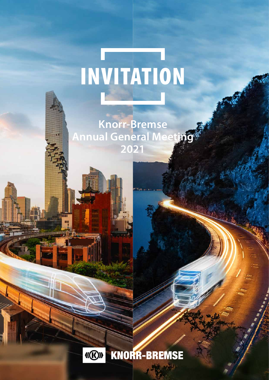# INVITATION

**Knorr-Bremse Annual General Meeting 2021**

Ш

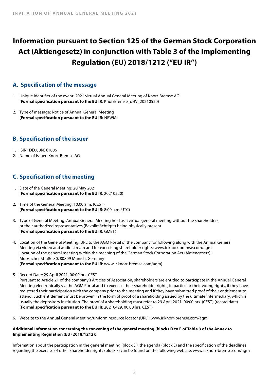# **Information pursuant to Section 125 of the German Stock Corporation Act (Aktiengesetz) in conjunction with Table 3 of the Implementing Regulation (EU) 2018/1212 ("EU IR")**

# **A. Specification of the message**

- 1. Unique identifier of the event: 2021 virtual Annual General Meeting of Knorr-Bremse AG (**Formal specification pursuant to the EU IR**: KnorrBremse\_oHV\_20210520)
- 2. Type of message: Notice of Annual General Meeting (**Formal specification pursuant to the EU IR:** NEWM)

# **B. Specification of the issuer**

- 1. ISIN: DE000KBX1006
- 2. Name of issuer: Knorr-Bremse AG

# **C. Specification of the meeting**

- 1. Date of the General Meeting: 20 May 2021 (**Formal specification pursuant to the EU IR**: 20210520)
- 2. Time of the General Meeting: 10:00 a.m. (CEST) (**Formal specification pursuant to the EU IR**: 8:00 a.m. UTC)
- 3. Type of General Meeting: Annual General Meeting held as a virtual general meeting without the shareholders or their authorized representatives (Bevollmächtigte) being physically present (**Formal specification pursuant to the EU IR**: GMET)
- 4. Location of the General Meeting: URL to the AGM Portal of the company for following along with the Annual General Meeting via video and audio stream and for exercising shareholder rights: www.ir.knorr-bremse.com/agm Location of the general meeting within the meaning of the German Stock Corporation Act (Aktiengesetz): Moosacher Straße 80, 80809 Munich, Germany (**Formal specification pursuant to the EU IR**: www.ir.knorr-bremse.com/agm)
- 5. Record Date: 29 April 2021, 00:00 hrs. CEST

Pursuant to Article 21 of the company's Articles of Association, shareholders are entitled to participate in the Annual General Meeting electronically via the AGM Portal and to exercise their shareholder rights, in particular their voting rights, if they have registered their participation with the company prior to the meeting and if they have submitted proof of their entitlement to attend. Such entitlement must be proven in the form of proof of a shareholding issued by the ultimate intermediary, which is usually the depository institution. The proof of a shareholding must refer to 29 April 2021, 00:00 hrs. (CEST) (record date). (**Formal specification pursuant to the EU IR**: 20210429, 00:00 hrs. CEST)

6. Website to the Annual General Meeting/uniform resource locator (URL): www.ir.knorr-bremse.com/agm

#### **Additional information concerning the convening of the general meeting (blocks D to F of Table 3 of the Annex to Implementing Regulation (EU) 2018/1212):**

Information about the participation in the general meeting (block D), the agenda (block E) and the specification of the deadlines regarding the exercise of other shareholder rights (block F) can be found on the following website: www.ir.knorr-bremse.com/agm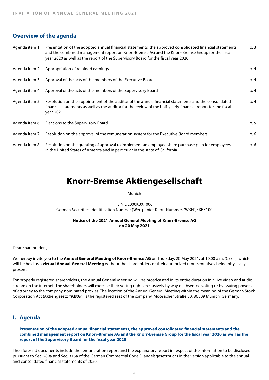# **Overview of the agenda**

| Agenda item 1 | Presentation of the adopted annual financial statements, the approved consolidated financial statements<br>and the combined management report on Knorr-Bremse AG and the Knorr-Bremse Group for the fiscal<br>year 2020 as well as the report of the Supervisory Board for the fiscal year 2020 | p. 3 |
|---------------|-------------------------------------------------------------------------------------------------------------------------------------------------------------------------------------------------------------------------------------------------------------------------------------------------|------|
| Agenda item 2 | Appropriation of retained earnings                                                                                                                                                                                                                                                              | p. 4 |
| Agenda item 3 | Approval of the acts of the members of the Executive Board                                                                                                                                                                                                                                      | p. 4 |
| Agenda item 4 | Approval of the acts of the members of the Supervisory Board                                                                                                                                                                                                                                    | p. 4 |
| Agenda item 5 | Resolution on the appointment of the auditor of the annual financial statements and the consolidated<br>financial statements as well as the auditor for the review of the half-yearly financial report for the fiscal<br>year 2021                                                              | p. 4 |
| Agenda item 6 | Elections to the Supervisory Board                                                                                                                                                                                                                                                              | p. 5 |
| Agenda item 7 | Resolution on the approval of the remuneration system for the Executive Board members                                                                                                                                                                                                           | p. 6 |
| Agenda item 8 | Resolution on the granting of approval to implement an employee share purchase plan for employees<br>in the United States of America and in particular in the state of California                                                                                                               | p. 6 |

# **Knorr-Bremse Aktiengesellschaft**

Munich

ISIN DE000KBX1006 German Securities Identification Number (Wertpapier-Kenn-Nummer, "WKN"): KBX100

#### **Notice of the 2021 Annual General Meeting of Knorr-Bremse AG on 20 May 2021**

Dear Shareholders,

We hereby invite you to the **Annual General Meeting of Knorr-Bremse AG** on Thursday, 20 May 2021, at 10:00 a.m. (CEST), which will be held as a **virtual Annual General Meeting** without the shareholders or their authorized representatives being physically present.

For properly registered shareholders, the Annual General Meeting will be broadcasted in its entire duration in a live video and audio stream on the internet. The shareholders will exercise their voting rights exclusively by way of absentee voting or by issuing powers of attorney to the company-nominated proxies. The location of the Annual General Meeting within the meaning of the German Stock Corporation Act (Aktiengesetz, "**AktG**") is the registered seat of the company, Moosacher Straße 80, 80809 Munich, Germany.

# **I. Agenda**

#### **1. Presentation of the adopted annual financial statements, the approved consolidated financial statements and the combined management report on Knorr-Bremse AG and the Knorr-Bremse Group for the fiscal year 2020 as well as the report of the Supervisory Board for the fiscal year 2020**

The aforesaid documents include the remuneration report and the explanatory report in respect of the information to be disclosed pursuant to Sec. 289a and Sec. 315a of the German Commercial Code (Handelsgesetzbuch) in the version applicable to the annual and consolidated financial statements of 2020.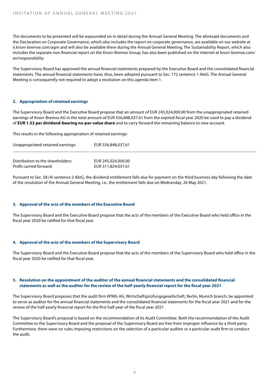The documents to be presented will be expounded on in detail during the Annual General Meeting. The aforesaid documents and the Declaration on Corporate Governance, which also includes the report on corporate governance, are available on our website at ir.knorr-bremse.com/agm and will also be available there during the Annual General Meeting. The Sustainability Report, which also includes the separate non-financial report on the Knorr-Bremse Group, has also been published on the internet at knorr-bremse.com/ en/responsibility.

The Supervisory Board has approved the annual financial statements prepared by the Executive Board and the consolidated financial statements. The annual financial statements have, thus, been adopted pursuant to Sec. 172 sentence 1 AktG. The Annual General Meeting is consequently not required to adopt a resolution on this agenda item 1.

#### **2. Appropriation of retained earnings**

The Supervisory Board and the Executive Board propose that an amount of EUR 245,024,000.00 from the unappropriated retained earnings of Knorr-Bremse AG in the total amount of EUR 556,848,037.61 from the expired fiscal year 2020 be used to pay a dividend of **EUR 1.52 per dividend-bearing no-par-value share** and to carry forward the remaining balance to new account.

This results in the following appropriation of retained earnings:

| Unappropriated retained earnings: | EUR 556,848,037.61 |
|-----------------------------------|--------------------|
| Distribution to the shareholders: | EUR 245,024,000.00 |
| Profit carried forward:           | EUR 311,824,037.61 |

Pursuant to Sec. 58 (4) sentence 2 AktG, the dividend entitlement falls due for payment on the third business day following the date of the resolution of the Annual General Meeting, i.e., the entitlement falls due on Wednesday, 26 May 2021.

#### **3. Approval of the acts of the members of the Executive Board**

The Supervisory Board and the Executive Board propose that the acts of the members of the Executive Board who held office in the fiscal year 2020 be ratified for that fiscal year.

#### **4. Approval of the acts of the members of the Supervisory Board**

The Supervisory Board and the Executive Board propose that the acts of the members of the Supervisory Board who held office in the fiscal year 2020 be ratified for that fiscal year.

#### **5. Resolution on the appointment of the auditor of the annual financial statements and the consolidated financial statements as well as the auditor for the review of the half-yearly financial report for the fiscal year 2021**

The Supervisory Board proposes that the audit firm KPMG AG, Wirtschaftsprüfungsgesellschaft, Berlin, Munich branch, be appointed to serve as auditor for the annual financial statements and the consolidated financial statements for the fiscal year 2021 and for the review of the half-yearly financial report for the first half-year of the fiscal year 2021.

The Supervisory Board's proposal is based on the recommendation of its Audit Committee. Both the recommendation of the Audit Committee to the Supervisory Board and the proposal of the Supervisory Board are free from improper influence by a third party. Furthermore, there were no rules imposing restrictions on the selection of a particular auditor or a particular audit firm to conduct the audit.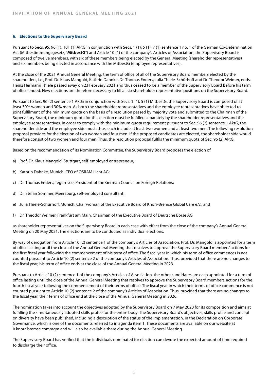#### **6. Elections to the Supervisory Board**

Pursuant to Secs. 95, 96 (1), 101 (1) AktG in conjunction with Secs. 1 (1), 5 (1), 7 (1) sentence 1 no. 1 of the German Co-Determination Act (Mitbestimmungsgesetz, "**MitbestG**") and Article 10 (1) of the company's Articles of Association, the Supervisory Board is composed of twelve members, with six of these members being elected by the General Meeting (shareholder representatives) and six members being elected in accordance with the MitbestG (employee representatives).

At the close of the 2021 Annual General Meeting, the term of office of all of the Supervisory Board members elected by the shareholders, i.e., Prof. Dr. Klaus Mangold, Kathrin Dahnke, Dr. Thomas Enders, Julia Thiele-Schürhoff and Dr. Theodor Weimer, ends. Heinz Hermann Thiele passed away on 23 February 2021 and thus ceased to be a member of the Supervisory Board before his term of office ended. New elections are therefore necessary to fill all six shareholder representative positions on the Supervisory Board.

Pursuant to Sec. 96 (2) sentence 1 AktG in conjunction with Secs. 1 (1), 5 (1) MitbestG, the Supervisory Board is composed of at least 30% women and 30% men. As both the shareholder representatives and the employee representatives have objected to joint fulfilment of the minimum quota on the basis of a resolution passed by majority vote and submitted to the Chairman of the Supervisory Board, the minimum quota for this election must be fulfilled separately by the shareholder representatives and the employee representatives. In order to comply with the minimum quota requirement pursuant to Sec. 96 (2) sentence 1 AktG, the shareholder side and the employee side must, thus, each include at least two women and at least two men. The following resolution proposal provides for the election of two women and four men. If the proposed candidates are elected, the shareholder side would therefore consist of two women and four men. Thus, the resolution proposal fulfils the minimum quota of Sec. 96 (2) AktG.

Based on the recommendation of its Nomination Committee, the Supervisory Board proposes the election of

- a) Prof. Dr. Klaus Mangold, Stuttgart, self-employed entrepreneur;
- b) Kathrin Dahnke, Munich, CFO of OSRAM Licht AG;
- c) Dr. Thomas Enders, Tegernsee, President of the German Council on Foreign Relations;
- d) Dr. Stefan Sommer, Meersburg, self-employed consultant;
- e) Julia Thiele-Schürhoff, Munich, Chairwoman of the Executive Board of Knorr-Bremse Global Care e.V.; and
- f ) Dr. Theodor Weimer, Frankfurt am Main, Chairman of the Executive Board of Deutsche Börse AG

as shareholder representatives on the Supervisory Board in each case with effect from the close of the company's Annual General Meeting on 20 May 2021. The elections are to be conducted as individual elections.

By way of derogation from Article 10 (2) sentence 1 of the company's Articles of Association, Prof. Dr. Mangold is appointed for a term of office lasting until the close of the Annual General Meeting that resolves to approve the Supervisory Board members' actions for the first fiscal year following the commencement of his term of office. The fiscal year in which his term of office commences is not counted pursuant to Article 10 (2) sentence 2 of the company's Articles of Association. Thus, provided that there are no changes to the fiscal year, his term of office ends at the close of the Annual General Meeting in 2023.

Pursuant to Article 10 (2) sentence 1 of the company's Articles of Association, the other candidates are each appointed for a term of office lasting until the close of the Annual General Meeting that resolves to approve the Supervisory Board members' actions for the fourth fiscal year following the commencement of their terms of office. The fiscal year in which their terms of office commence is not counted pursuant to Article 10 (2) sentence 2 of the company's Articles of Association. Thus, provided that there are no changes to the fiscal year, their terms of office end at the close of the Annual General Meeting in 2026.

The nomination takes into account the objectives adopted by the Supervisory Board on 7 May 2020 for its composition and aims at fulfilling the simultaneously adopted skills profile for the entire body. The Supervisory Board's objectives, skills profile and concept on diversity have been published, including a description of the status of the implementation, in the Declaration on Corporate Governance, which is one of the documents referred to in agenda item 1. These documents are available on our website at ir.knorr-bremse.com/agm and will also be available there during the Annual General Meeting.

The Supervisory Board has verified that the individuals nominated for election can devote the expected amount of time required to discharge their office.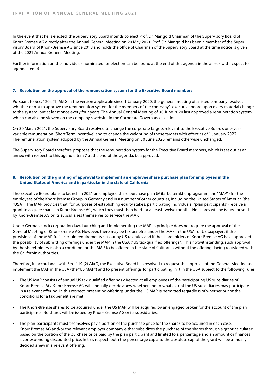In the event that he is elected, the Supervisory Board intends to elect Prof. Dr. Mangold Chairman of the Supervisory Board of Knorr-Bremse AG directly after the Annual General Meeting on 20 May 2021. Prof. Dr. Mangold has been a member of the Supervisory Board of Knorr-Bremse AG since 2018 and holds the office of Chairman of the Supervisory Board at the time notice is given of the 2021 Annual General Meeting.

Further information on the individuals nominated for election can be found at the end of this agenda in the annex with respect to agenda item 6.

#### **7. Resolution on the approval of the remuneration system for the Executive Board members**

Pursuant to Sec. 120a (1) AktG in the version applicable since 1 January 2020, the general meeting of a listed company resolves whether or not to approve the remuneration system for the members of the company's executive board upon every material change to the system, but at least once every four years. The Annual General Meeting of 30 June 2020 last approved a remuneration system, which can also be viewed on the company's website in the Corporate Governance section.

On 30 March 2021, the Supervisory Board resolved to change the corporate targets relevant to the Executive Board's one-year variable remuneration (Short Term Incentive) and to change the weighting of those targets with effect as of 1 January 2022. The remuneration system adopted by the Annual General Meeting on 30 June 2020 remains otherwise unchanged.

The Supervisory Board therefore proposes that the remuneration system for the Executive Board members, which is set out as an annex with respect to this agenda item 7 at the end of the agenda, be approved.

#### **8. Resolution on the granting of approval to implement an employee share purchase plan for employees in the United States of America and in particular in the state of California**

The Executive Board plans to launch in 2021 an employee share purchase plan (Mitarbeiteraktienprogramm, the "MAP") for the employees of the Knorr-Bremse Group in Germany and in a number of other countries, including the United States of America (the "USA"). The MAP provides that, for purposes of establishing equity stakes, participating individuals ("plan participants") receive a grant to acquire shares in Knorr-Bremse AG, which they must then hold for at least twelve months. No shares will be issued or sold by Knorr-Bremse AG or its subsidiaries themselves to service the MAP.

Under German stock corporation law, launching and implementing the MAP in principle does not require the approval of the General Meeting of Knorr-Bremse AG. However, there may be tax benefits under the MAP in the USA for US taxpayers if the provisions of the MAP fulfill certain requirements set out by US tax rules and if the shareholders of Knorr-Bremse AG have approved the possibility of submitting offerings under the MAP in the USA ("US tax-qualified offerings"). This notwithstanding, such approval by the shareholders is also a condition for the MAP to be offered in the state of California without the offerings being registered with the California authorities.

Therefore, in accordance with Sec. 119 (2) AktG, the Executive Board has resolved to request the approval of the General Meeting to implement the MAP in the USA (the "US MAP") and to present offerings for participating in it in the USA subject to the following rules:

- The US MAP consists of annual US tax-qualified offerings directed at all employees of the participating US subsidiaries of Knorr-Bremse AG. Knorr-Bremse AG will annually decide anew whether and to what extent the US subsidiaries may participate in a relevant offering. In this respect, presenting offerings under the US MAP is permitted regardless of whether or not the conditions for a tax benefit are met.
- The Knorr-Bremse shares to be acquired under the US MAP will be acquired by an engaged broker for the account of the plan participants. No shares will be issued by Knorr-Bremse AG or its subsidiaries.
- The plan participants must themselves pay a portion of the purchase price for the shares to be acquired in each case. Knorr-Bremse AG and/or the relevant employer company either subsidizes the purchase of the shares through a grant calculated based on the portion of the purchase price paid by the plan participant and limited to a percentage and an amount or finances a corresponding discounted price. In this respect, both the percentage cap and the absolute cap of the grant will be annually decided anew in a relevant offering.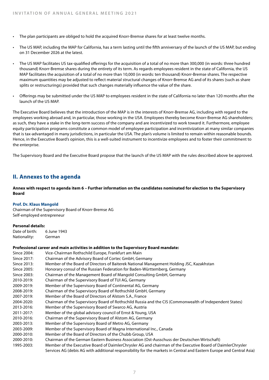- The plan participants are obliged to hold the acquired Knorr-Bremse shares for at least twelve months.
- The US MAP, including the MAP for California, has a term lasting until the fifth anniversary of the launch of the US MAP, but ending on 31 December 2026 at the latest.
- The US MAP facilitates US tax-qualified offerings for the acquisition of a total of no more than 300,000 (in words: three hundred thousand) Knorr-Bremse shares during the entirety of its term. As regards employees resident in the state of California, the US MAP facilitates the acquisition of a total of no more than 10,000 (in words: ten thousand) Knorr-Bremse shares. The respective maximum quantities may be adjusted to reflect material structural changes of Knorr-Bremse AG and of its shares (such as share splits or restructurings) provided that such changes materially influence the value of the share.
- Offerings may be submitted under the US MAP to employees resident in the state of California no later than 120 months after the launch of the US MAP.

The Executive Board believes that the introduction of the MAP is in the interests of Knorr-Bremse AG, including with regard to the employees working abroad and, in particular, those working in the USA. Employees thereby become Knorr-Bremse AG shareholders; as such, they have a stake in the long-term success of the company and are incentivized to work toward it. Furthermore, employee equity participation programs constitute a common model of employee participation and incentivization at many similar companies that is tax-advantaged in many jurisdictions, in particular the USA. The plan's volume is limited to remain within reasonable bounds. Hence, in the Executive Board's opinion, this is a well-suited instrument to incentivize employees and to foster their commitment to the enterprise.

The Supervisory Board and the Executive Board propose that the launch of the US MAP with the rules described above be approved.

## **II. Annexes to the agenda**

**Annex with respect to agenda item 6 – Further information on the candidates nominated for election to the Supervisory Board** 

#### **Prof. Dr. Klaus Mangold**

Chairman of the Supervisory Board of Knorr-Bremse AG Self-employed entrepreneur

#### **Personal details:**

Date of birth: 6 June 1943 Nationality: German

#### **Professional career and main activities in addition to the Supervisory Board mandate:**

Since 2004: Vice-Chairman Rothschild Europe, Frankfurt am Main Since 2017: Chairman of the Advisory Board of Cortec GmbH, Germany Since 2013: Member of the Board of Directors of Baiterek National Management Holding JSC, Kazakhstan Since 2005: Honorary consul of the Russian Federation for Baden-Württemberg, Germany Since 2003: Chairman of the Management Board of Mangold Consulting GmbH, Germany 2010-2019: Chairman of the Supervisory Board of TUI AG, Germany 2009-2019: Member of the Supervisory Board of Continental AG, Germany 2008-2019: Chairman of the Supervisory Board of Rothschild GmbH, Germany 2007-2019: Member of the Board of Directors of Alstom S.A., France 2004-2020: Chairman of the Supervisory Board of Rothschild Russia and the CIS (Commonwealth of Independent States) 2013-2016: Member of the Supervisory Board of Swarco AG, Austria 2011-2017: Member of the global advisory council of Ernst & Young, USA 2010-2016: Chairman of the Supervisory Board of Alstom AG, Germany 2003-2013: Member of the Supervisory Board of Metro AG, Germany 2003-2009: Member of the Supervisory Board of Magna International Inc., Canada 2000-2010: Member of the Board of Directors of the Chubb Group, USA 2000-2010: Chairman of the German Eastern Business Association (Ost-Ausschuss der Deutschen Wirtschaft) 1995-2003: Member of the Executive Board of DaimlerChrysler AG and chairman of the Executive Board of DaimlerChrysler Services AG (debis AG with additional responsibility for the markets in Central and Eastern Europe and Central Asia)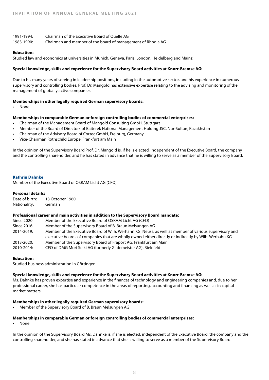| 1991-1994: | Chairman of the Executive Board of Ouelle AG                |
|------------|-------------------------------------------------------------|
| 1983-1990: | Chairman and member of the board of management of Rhodia AG |

#### **Education:**

Studied law and economics at universities in Munich, Geneva, Paris, London, Heidelberg and Mainz

#### **Special knowledge, skills and experience for the Supervisory Board activities at Knorr-Bremse AG:**

Due to his many years of serving in leadership positions, including in the automotive sector, and his experience in numerous supervisory and controlling bodies, Prof. Dr. Mangold has extensive expertise relating to the advising and monitoring of the management of globally active companies.

#### **Memberships in other legally required German supervisory boards:**

• None

#### **Memberships in comparable German or foreign controlling bodies of commercial enterprises:**

- Chairman of the Management Board of Mangold Consulting GmbH, Stuttgart
- Member of the Board of Directors of Baiterek National Management Holding JSC, Nur-Sultan, Kazakhstan
- Chairman of the Advisory Board of Cortec GmbH, Freiburg, Germany
- Vice-Chairman Rothschild Europe, Frankfurt am Main

In the opinion of the Supervisory Board Prof. Dr. Mangold is, if he is elected, independent of the Executive Board, the company and the controlling shareholder, and he has stated in advance that he is willing to serve as a member of the Supervisory Board.

#### **Kathrin Dahnke**

Member of the Executive Board of OSRAM Licht AG (CFO)

#### **Personal details:**

| Date of birth: | 13 October 1960 |
|----------------|-----------------|
| Nationality:   | German          |

#### **Professional career and main activities in addition to the Supervisory Board mandate:**

| Since 2020: | Member of the Executive Board of OSRAM Licht AG (CFO)                                                                                                                                                           |
|-------------|-----------------------------------------------------------------------------------------------------------------------------------------------------------------------------------------------------------------|
| Since 2016: | Member of the Supervisory Board of B. Braun Melsungen AG                                                                                                                                                        |
| 2014-2019:  | Member of the Executive Board of Wilh. Werhahn KG, Neuss, as well as member of various supervisory and<br>executive boards of companies that are wholly owned either directly or indirectly by Wilh. Werhahn KG |
|             |                                                                                                                                                                                                                 |
| 2013-2020:  | Member of the Supervisory Board of Fraport AG, Frankfurt am Main                                                                                                                                                |
| 2010-2014:  | CFO of DMG Mori Seiki AG (formerly Gildemeister AG), Bielefeld                                                                                                                                                  |

#### **Education:**

Studied business administration in Göttingen

#### **Special knowledge, skills and experience for the Supervisory Board activities at Knorr-Bremse AG:**

Ms. Dahnke has proven expertise and experience in the finances of technology and engineering companies and, due to her professional career, she has particular competence in the areas of reporting, accounting and financing as well as in capital market matters.

#### **Memberships in other legally required German supervisory boards:**

• Member of the Supervisory Board of B. Braun Melsungen AG

## **Memberships in comparable German or foreign controlling bodies of commercial enterprises:**

• None

In the opinion of the Supervisory Board Ms. Dahnke is, if she is elected, independent of the Executive Board, the company and the controlling shareholder, and she has stated in advance that she is willing to serve as a member of the Supervisory Board.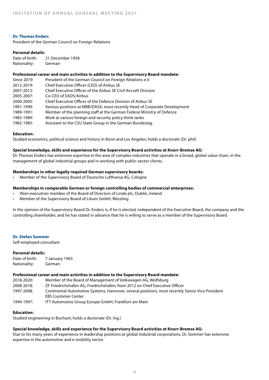#### **Dr. Thomas Enders**

President of the German Council on Foreign Relations

#### **Personal details:**

| Date of birth: | 21 December 1958 |
|----------------|------------------|
| Nationality:   | German           |

#### **Professional career and main activities in addition to the Supervisory Board mandate:**

| Since 2019: | President of the German Council on Foreign Relations e.V.                  |
|-------------|----------------------------------------------------------------------------|
| 2012-2019:  | Chief Executive Officer (CEO) of Airbus SE                                 |
| 2007-2012:  | Chief Executive Officer of the Airbus SE Civil Aircraft Division           |
| 2005-2007:  | Co-CEO of EADS/Airbus                                                      |
| 2000-2005:  | Chief Executive Officer of the Defence Division of Airbus SE               |
| 1991-1999:  | Various positions at MBB/DASA, most recently Head of Corporate Development |
| 1989-1991:  | Member of the planning staff at the German Federal Ministry of Defence     |
| 1985-1989:  | Work at various foreign and security policy think tanks                    |
| 1982-1985:  | Assistant to the CSU State Group in the German Bundestag                   |

#### **Education:**

Studied economics, political science and history in Bonn and Los Angeles; holds a doctorate (Dr. phil)

#### **Special knowledge, skills and experience for the Supervisory Board activities at Knorr-Bremse AG:**

Dr. Thomas Enders has extensive expertise in the area of complex industries that operate in a broad, global value chain, in the management of global industrial groups and in working with public-sector clients.

#### **Memberships in other legally required German supervisory boards:**

• Member of the Supervisory Board of Deutsche Lufthansa AG, Cologne

#### **Memberships in comparable German or foreign controlling bodies of commercial enterprises:**

- (Non-executive) member of the Board of Directors of Linde plc, Dublin, Ireland
- Member of the Supervisory Board of Lilium GmbH, Wessling

In the opinion of the Supervisory Board Dr. Enders is, if he is elected, independent of the Executive Board, the company and the controlling shareholder, and he has stated in advance that he is willing to serve as a member of the Supervisory Board.

#### **Dr. Stefan Sommer**

Self-employed consultant

#### **Personal details:**

| Date of birth: | 7 January 1963 |
|----------------|----------------|
| Nationality:   | German         |

#### **Professional career and main activities in addition to the Supervisory Board mandate:**

| 2018-2020: | Member of the Board of Management of Volkswagen AG, Wolfsburg                                    |
|------------|--------------------------------------------------------------------------------------------------|
| 2008-2018: | ZF Friedrichshafen AG. Friedrichshafen: from 2012 on Chief Executive Officer                     |
| 1997-2008: | Continental Automotive Systems, Hannover, several positions, most recently Senior Vice President |
|            | <b>EBS Customer Center</b>                                                                       |
| 1994-1997: | ITT Automotive Group Europe GmbH, Frankfurt am Main                                              |

#### **Education:**

Studied engineering in Bochum; holds a doctorate (Dr. Ing.)

### **Special knowledge, skills and experience for the Supervisory Board activities at Knorr-Bremse AG:**

Due to his many years of experience in leadership positions at global industrial corporations, Dr. Sommer has extensive expertise in the automotive and e-mobility sector.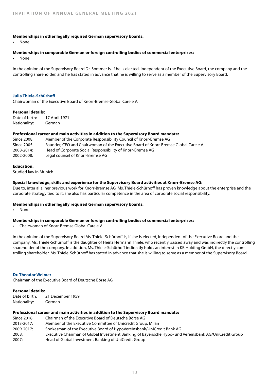#### **Memberships in other legally required German supervisory boards:**

• None

#### **Memberships in comparable German or foreign controlling bodies of commercial enterprises:**

• None

In the opinion of the Supervisory Board Dr. Sommer is, if he is elected, independent of the Executive Board, the company and the controlling shareholder, and he has stated in advance that he is willing to serve as a member of the Supervisory Board.

#### **Julia Thiele-Schürhoff**

Chairwoman of the Executive Board of Knorr-Bremse Global Care e.V.

#### **Personal details:**

Date of birth: 17 April 1971 Nationality: German

#### **Professional career and main activities in addition to the Supervisory Board mandate:**

| Since 2008: | Member of the Corporate Responsibility Council of Knorr-Bremse AG                   |
|-------------|-------------------------------------------------------------------------------------|
| Since 2005: | Founder, CEO and Chairwoman of the Executive Board of Knorr-Bremse Global Care e.V. |
| 2008-2014:  | Head of Corporate Social Responsibility of Knorr-Bremse AG                          |
| 2002-2008:  | Legal counsel of Knorr-Bremse AG                                                    |

#### **Education:**

Studied law in Munich

#### **Special knowledge, skills and experience for the Supervisory Board activities at Knorr-Bremse AG:**

Due to, inter alia, her previous work for Knorr-Bremse AG, Ms. Thiele-Schürhoff has proven knowledge about the enterprise and the corporate strategy tied to it; she also has particular competence in the area of corporate social responsibility.

#### **Memberships in other legally required German supervisory boards:**

• None

#### **Memberships in comparable German or foreign controlling bodies of commercial enterprises:**

• Chairwoman of Knorr-Bremse Global Care e.V.

In the opinion of the Supervisory Board Ms. Thiele-Schürhoff is, if she is elected, independent of the Executive Board and the company. Ms. Thiele-Schürhoff is the daughter of Heinz Hermann Thiele, who recently passed away and was indirectly the controlling shareholder of the company. In addition, Ms. Thiele-Schürhoff indirectly holds an interest in KB Holding GmbH, the directly controlling shareholder. Ms. Thiele-Schürhoff has stated in advance that she is willing to serve as a member of the Supervisory Board.

#### **Dr. Theodor Weimer**

Chairman of the Executive Board of Deutsche Börse AG

#### **Personal details:**

| Date of birth: | 21 December 1959 |
|----------------|------------------|
| Nationality:   | German           |

#### **Professional career and main activities in addition to the Supervisory Board mandate:**

| Since 2018: | Chairman of the Executive Board of Deutsche Börse AG                                                   |
|-------------|--------------------------------------------------------------------------------------------------------|
| 2013-2017:  | Member of the Executive Committee of Unicredit Group, Milan                                            |
| 2009-2017:  | Spokesman of the Executive Board of HypoVereinsbank/UniCredit Bank AG                                  |
| 2008:       | Executive Chairman of Global Investment Banking of Bayerische Hypo- und Vereinsbank AG/UniCredit Group |
| 2007:       | Head of Global Investment Banking of UniCredit Group                                                   |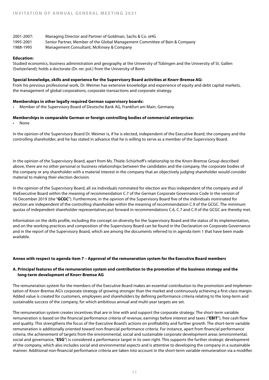| 2001-2007: | Managing Director and Partner of Goldman, Sachs & Co. oHG                   |
|------------|-----------------------------------------------------------------------------|
| 1995-2001  | Senior Partner, Member of the Global Management Committee of Bain & Company |
| 1988-1995  | Management Consultant, McKinsey & Company                                   |

#### **Education:**

Studied economics, business administration and geography at the University of Tübingen and the University of St. Gallen (Switzerland); holds a doctorate (Dr. rer. pol.) from the University of Bonn

#### **Special knowledge, skills and experience for the Supervisory Board activities at Knorr-Bremse AG:**

From his previous professional work, Dr. Weimer has extensive knowledge and experience of equity and debt capital markets, the management of global corporations, corporate transactions and corporate strategy.

#### **Memberships in other legally required German supervisory boards:**

• Member of the Supervisory Board of Deutsche Bank AG, Frankfurt am Main, Germany

#### **Memberships in comparable German or foreign controlling bodies of commercial enterprises:**

• None

In the opinion of the Supervisory Board Dr. Weimer is, if he is elected, independent of the Executive Board, the company and the controlling shareholder, and he has stated in advance that he is willing to serve as a member of the Supervisory Board.

In the opinion of the Supervisory Board, apart from Ms. Thiele-Schürhoff's relationship to the Knorr-Bremse Group described above, there are no other personal or business relationships between the candidates and the company, the corporate bodies of the company or any shareholder with a material interest in the company that an objectively judging shareholder would consider material to making their election decision.

In the opinion of the Supervisory Board, all six individuals nominated for election are thus independent of the company and of theExecutive Board within the meaning of recommendation C.7 of the German Corporate Governance Code in the version of 16 December 2019 (the "**GCGC**"). Furthermore, in the opinion of the Supervisory Board five of the individuals nominated for election are independent of the controlling shareholder within the meaning of recommendation C.9 of the GCGC. The minimum quotas of independent shareholder representatives put forward in recommendations C.6, C.7 and C.9 of the GCGC are thereby met.

Information on the skills profile, including the concept on diversity for the Supervisory Board and the status of its implementation, and on the working practices and composition of the Supervisory Board can be found in the Declaration on Corporate Governance and in the report of the Supervisory Board, which are among the documents referred to in agenda item 1 that have been made available.

#### **Annex with respect to agenda item 7 – Approval of the remuneration system for the Executive Board members**

#### **A. Principal features of the remuneration system and contribution to the promotion of the business strategy and the long-term development of Knorr-Bremse AG**

The remuneration system for the members of the Executive Board makes an essential contribution to the promotion and implementation of Knorr-Bremse AG's corporate strategy of growing stronger than the market and continuously achieving a first-class margin. Added value is created for customers, employees and shareholders by defining performance criteria relating to the long-term and sustainable success of the company, for which ambitious annual and multi-year targets are set.

The remuneration system creates incentives that are in line with and support the corporate strategy: The short-term variable remuneration is based on the financial performance criteria of revenue, earnings before interest and taxes ("**EBIT**"), free cash flow and quality. This strengthens the focus of the Executive Board's actions on profitability and further growth. The short-term variable remuneration is additionally oriented toward non-financial performance criteria. For instance, apart from financial performance criteria, the achievement of targets from the environmental, social and sustainable corporate development areas (environmental, social and governance, "**ESG**") is considered a performance target in its own right. This supports the further strategic development of the company, which also includes social and environmental aspects and is attentive to developing the company in a sustainable manner. Additional non-financial performance criteria are taken into account in the short-term variable remuneration via a modifier.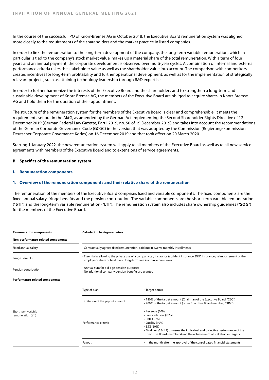In the course of the successful IPO of Knorr-Bremse AG in October 2018, the Executive Board remuneration system was aligned more closely to the requirements of the shareholders and the market practice in listed companies.

In order to link the remuneration to the long-term development of the company, the long-term variable remuneration, which in particular is tied to the company's stock market value, makes up a material share of the total remuneration. With a term of four years and an annual payment, the corporate development is observed over multi-year cycles. A combination of internal and external performance criteria takes the stakeholder value as well as the shareholder value into account. The comparison with competitors creates incentives for long-term profitability and further operational development, as well as for the implementation of strategically relevant projects, such as attaining technology leadership through R&D expertise.

In order to further harmonize the interests of the Executive Board and the shareholders and to strengthen a long-term and sustainable development of Knorr-Bremse AG, the members of the Executive Board are obliged to acquire shares in Knorr-Bremse AG and hold them for the duration of their appointment.

The structure of the remuneration system for the members of the Executive Board is clear and comprehensible. It meets the requirements set out in the AktG, as amended by the German Act Implementing the Second Shareholder Rights Directive of 12 December 2019 (German Federal Law Gazette, Part I 2019, no. 50 of 19 December 2019) and takes into account the recommendations of the German Corporate Governance Code (GCGC) in the version that was adopted by the Commission (Regierungskommission Deutscher Corporate Governance Kodex) on 16 December 2019 and that took effect on 20 March 2020.

Starting 1 January 2022, the new remuneration system will apply to all members of the Executive Board as well as to all new service agreements with members of the Executive Board and to extensions of service agreements.

#### **B. Specifics of the remuneration system**

**I. Remuneration components**

#### **1. Overview of the remuneration components and their relative share of the remuneration**

The remuneration of the members of the Executive Board comprises fixed and variable components. The fixed components are the fixed annual salary, fringe benefits and the pension contribution. The variable components are the short-term variable remuneration ("**STI**") and the long-term variable remuneration ("**LTI**"). The remuneration system also includes share ownership guidelines ("**SOG**") for the members of the Executive Board.

| <b>Remuneration components</b>            | <b>Calculation basis/parameters</b>                                                                                                                                                               |                                                                                                                                                                                                                                                                    |  |
|-------------------------------------------|---------------------------------------------------------------------------------------------------------------------------------------------------------------------------------------------------|--------------------------------------------------------------------------------------------------------------------------------------------------------------------------------------------------------------------------------------------------------------------|--|
| Non-performance-related components        |                                                                                                                                                                                                   |                                                                                                                                                                                                                                                                    |  |
| Fixed annual salary                       | • Contractually agreed fixed remuneration, paid out in twelve monthly installments                                                                                                                |                                                                                                                                                                                                                                                                    |  |
| Fringe benefits                           | • Essentially, allowing the private use of a company car, insurance (accident insurance, D&O insurance), reimbursement of the<br>employer's share of health and long-term care insurance premiums |                                                                                                                                                                                                                                                                    |  |
| Pension contribution                      | • Annual sum for old-age pension purposes<br>• No additional company pension benefits are granted                                                                                                 |                                                                                                                                                                                                                                                                    |  |
| <b>Performance-related components</b>     |                                                                                                                                                                                                   |                                                                                                                                                                                                                                                                    |  |
|                                           | Type of plan                                                                                                                                                                                      | • Target bonus                                                                                                                                                                                                                                                     |  |
|                                           | Limitation of the payout amount                                                                                                                                                                   | • 180% of the target amount (Chairman of the Executive Board, "CEO")<br>• 200% of the target amount (other Executive Board member, "EBM")                                                                                                                          |  |
| Short-term variable<br>remuneration (STI) | Performance criteria                                                                                                                                                                              | • Revenue (20%)<br>• Free cash flow (20%)<br>$\cdot$ EBIT (30%)<br>• Quality (10%)<br>$\cdot$ ESG (20%)<br>• Modifier (0.8-1.2) to assess the individual and collective performance of the<br>Executive Board (members) and the achievement of stakeholder targets |  |
|                                           | Payout                                                                                                                                                                                            | In the month after the approval of the consolidated financial statements                                                                                                                                                                                           |  |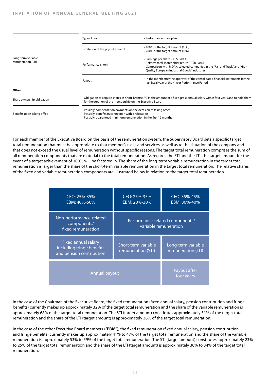|                                          | Type of plan                                                                                                                                                                                     | • Performance share plan                                                                                                                                                                                           |  |
|------------------------------------------|--------------------------------------------------------------------------------------------------------------------------------------------------------------------------------------------------|--------------------------------------------------------------------------------------------------------------------------------------------------------------------------------------------------------------------|--|
|                                          | Limitation of the payout amount                                                                                                                                                                  | • 180% of the target amount (CEO)<br>• 200% of the target amount (EBM)                                                                                                                                             |  |
| Long-term variable<br>remuneration (LTI) | Performance criteri                                                                                                                                                                              | • Earnings per share – EPS (50%)<br>• Relative total shareholder return - TSR (50%)<br>Comparison with MDAX, selected companies in the "Rail and Truck" and "High<br>Quality European Industrial Goods" industries |  |
|                                          | Payout                                                                                                                                                                                           | In the month after the approval of the consolidated financial statements for the<br>last fiscal year of the 4-year Performance Period                                                                              |  |
| Other                                    |                                                                                                                                                                                                  |                                                                                                                                                                                                                    |  |
| Share ownership obligation               | • Obligation to acquire shares in Knorr-Bremse AG in the amount of a fixed gross annual salary within four years and to hold them<br>for the duration of the membership on the Executive Board   |                                                                                                                                                                                                                    |  |
| Benefits upon taking office              | • Possibly, compensation payments on the occasion of taking office<br>• Possibly, benefits in connection with a relocation<br>. Possibly, quaranteed minimum remuneration in the first 12 months |                                                                                                                                                                                                                    |  |

For each member of the Executive Board on the basis of the remuneration system, the Supervisory Board sets a specific target total remuneration that must be appropriate to that member's tasks and services as well as to the situation of the company and that does not exceed the usual level of remuneration without specific reasons. The target total remuneration comprises the sum of all remuneration components that are material to the total remuneration. As regards the STI and the LTI, the target amount for the event of a target achievement of 100% will be factored in. The share of the long-term variable remuneration in the target total remuneration is larger than the share of the short-term variable remuneration in the target total remuneration. The relative shares of the fixed and variable remuneration components are illustrated below in relation to the target total remuneration.

| CEO: 25%-35%<br>EBM: 40%-50%                                                        | CEO: 25%-35%<br>EBM: 20%-30%                             | CEO: 35%-45%<br>EBM: 30%-40%             |
|-------------------------------------------------------------------------------------|----------------------------------------------------------|------------------------------------------|
| Non-performance-related<br>components/<br>fixed remuneration                        | Performance-related components/<br>variable remuneration |                                          |
| <b>Fixed annual salary</b><br>including fringe benefits<br>and pension contribution | Short-term variable<br>remuneration (STI)                | Long-term variable<br>remuneration (LTI) |
| <b>Annual payout</b>                                                                | Payout after<br>four years                               |                                          |

In the case of the Chairman of the Executive Board, the fixed remuneration (fixed annual salary, pension contribution and fringe benefits) currently makes up approximately 32% of the target total remuneration and the share of the variable remuneration is approximately 68% of the target total remuneration. The STI (target amount) constitutes approximately 31% of the target total remuneration and the share of the LTI (target amount) is approximately 36% of the target total remuneration.

In the case of the other Executive Board members ("**EBM**"), the fixed remuneration (fixed annual salary, pension contribution and fringe benefits) currently makes up approximately 41% to 47% of the target total remuneration and the share of the variable remuneration is approximately 53% to 59% of the target total remuneration. The STI (target amount) constitutes approximately 23% to 25% of the target total remuneration and the share of the LTI (target amount) is approximately 30% to 34% of the target total remuneration.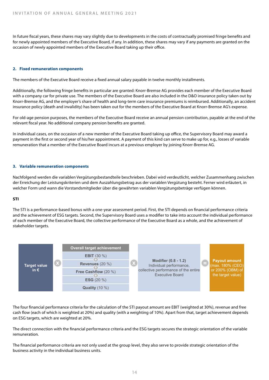In future fiscal years, these shares may vary slightly due to developments in the costs of contractually promised fringe benefits and for newly appointed members of the Executive Board, if any. In addition, these shares may vary if any payments are granted on the occasion of newly appointed members of the Executive Board taking up their office.

#### **2. Fixed remuneration components**

The members of the Executive Board receive a fixed annual salary payable in twelve monthly installments.

Additionally, the following fringe benefits in particular are granted: Knorr-Bremse AG provides each member of the Executive Board with a company car for private use. The members of the Executive Board are also included in the D&O insurance policy taken out by Knorr-Bremse AG, and the employer's share of health and long-term care insurance premiums is reimbursed. Additionally, an accident insurance policy (death and invalidity) has been taken out for the members of the Executive Board at Knorr-Bremse AG's expense.

For old-age pension purposes, the members of the Executive Board receive an annual pension contribution, payable at the end of the relevant fiscal year. No additional company pension benefits are granted.

In individual cases, on the occasion of a new member of the Executive Board taking up office, the Supervisory Board may award a payment in the first or second year of his/her appointment. A payment of this kind can serve to make up for, e.g., losses of variable remuneration that a member of the Executive Board incurs at a previous employer by joining Knorr-Bremse AG.

#### **3. Variable remuneration components**

Nachfolgend werden die variablen Vergütungsbestandteile beschrieben. Dabei wird verdeutlicht, welcher Zusammenhang zwischen der Erreichung der Leistungskriterien und dem Auszahlungsbetrag aus der variablen Vergütung besteht. Ferner wird erläutert, in welcher Form und wann die Vorstandsmitglieder über die gewährten variablen Vergütungsbeträge verfügen können.

#### **STI** Variable Vergütung des Vorstands

The STI is a performance-based bonus with a one-year assessment period. First, the STI depends on financial performance criteria and the achievement of ESG targets. Second, the Supervisory Board uses a modifier to take into account the individual performance of each member of the Executive Board, the collective performance of the Executive Board as a whole, and the achievement of **Short-Manufacture (STI) – Short-term incentive (STI)** – **Contractive** stakeholder targets.



The four financial performance criteria for the calculation of the STI payout amount are EBIT (weighted at 30%), revenue and free **Target Target achievement** cash flow (each of which is weighted at 20%) and quality (with a weighting of 10%). Apart from that, target achievement depends **< 80%** 0% on ESG targets, which are weighted at 20%.

The direct connection with the financial performance criteria and the ESG targets secures the strategic orientation of the variable **120%** 200% remuneration.

The financial performance criteria are not only used at the group level, they also serve to provide strategic orientation of the business activity in the individual business units.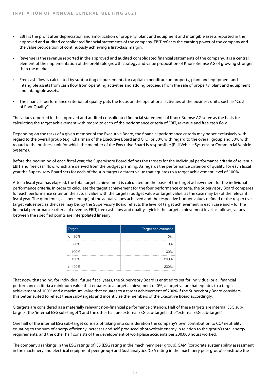- EBIT is the profit after depreciation and amortization of property, plant and equipment and intangible assets reported in the approved and audited consolidated financial statements of the company. EBIT reflects the earning power of the company and the value proposition of continuously achieving a first-class margin.
- Revenue is the revenue reported in the approved and audited consolidated financial statements of the company. It is a central element of the implementation of the profitable growth strategy and value proposition of Knorr-Bremse AG of growing stronger than the market.
- Free cash flow is calculated by subtracting disbursements for capital expenditure on property, plant and equipment and intangible assets from cash flow from operating activities and adding proceeds from the sale of property, plant and equipment and intangible assets.
- The financial performance criterion of quality puts the focus on the operational activities of the business units, such as "Cost of Poor Quality."

The values reported in the approved and audited consolidated financial statements of Knorr-Bremse AG serve as the basis for calculating the target achievement with regard to each of the performance criteria of EBIT, revenue and free cash flow.

Depending on the tasks of a given member of the Executive Board, the financial performance criteria may be set exclusively with regard to the overall group (e.g., Chairman of the Executive Board and CFO) or 50% with regard to the overall group and 50% with regard to the business unit for which the member of the Executive Board is responsible (Rail Vehicle Systems or Commercial Vehicle Systems).

Before the beginning of each fiscal year, the Supervisory Board defines the targets for the individual performance criteria of revenue, EBIT and free cash flow, which are derived from the budget planning. As regards the performance criterion of quality, for each fiscal year the Supervisory Board sets for each of the sub-targets a target value that equates to a target achievement level of 100%.

After a fiscal year has elapsed, the total target achievement is calculated on the basis of the target achievement for the individual performance criteria. In order to calculate the target achievement for the four performance criteria, the Supervisory Board compares for each performance criterion the actual value with the targets (budget value or target value, as the case may be) of the relevant fiscal year. The quotients (as a percentage) of the actual values achieved and the respective budget values defined or the respective target values set, as the case may be, by the Supervisory Board reflects the level of target achievement in each case and – for the financial performance criteria of revenue, EBIT, free cash flow and quality – yields the target achievement level as follows; values between the specified points are interpolated linearly:

| <b>Target</b> | <b>Target achievement</b> |
|---------------|---------------------------|
| 80%<br><      | 0%                        |
| 80%           | 0%                        |
| 100%          | 100%                      |
| 120%          | 200%                      |
| >120%         | 200%                      |

That notwithstanding, for individual, future fiscal years, the Supervisory Board is entitled to set for individual or all financial performance criteria a minimum value that equates to a target achievement of 0%, a target value that equates to a target achievement of 100% and a maximum value that equates to a target achievement of 200% if the Supervisory Board considers this better suited to reflect these sub-targets and incentivize the members of the Executive Board accordingly.

G targets are considered as a materially relevant non-financial performance criterion. Half of these targets are internal ESG subtargets (the "internal ESG sub-target") and the other half are external ESG sub-targets (the "external ESG sub-target").

One half of the internal ESG sub-target consists of taking into consideration the company's own contribution to CO<sup>2</sup> neutrality, equating to the sum of energy efficiency increases and self-produced photovoltaic energy in relation to the group's total energy requirements, and the other half consists of the development of workplace accidents per 200,000 hours worked.

The company's rankings in the ESG ratings of ISS (ESG rating in the machinery peer group), SAM (corporate sustainability assessment in the machinery and electrical equipment peer group) and Sustainalytics (CSA rating in the machinery peer group) constitute the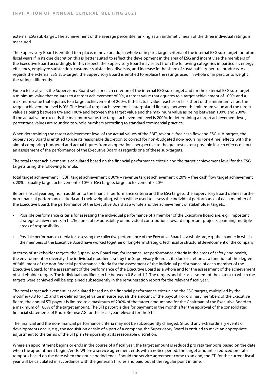external ESG sub-target. The achievement of the average percentile ranking as an arithmetic mean of the three individual ratings is measured.

The Supervisory Board is entitled to replace, remove or add, in whole or in part, target criteria of the internal ESG sub-target for future fiscal years if in its due discretion this is better suited to reflect the development in the area of ESG and incentivize the members of the Executive Board accordingly. In this respect, the Supervisory Board may select from the following categories in particular: energy efficiency, employee satisfaction, customer satisfaction, diversity, and increase in the share of sustainability-neutral products. As regards the external ESG sub-target, the Supervisory Board is entitled to replace the ratings used, in whole or in part, or to weight the ratings differently.

For each fiscal year, the Supervisory Board sets for each criterion of the internal ESG sub-target and for the external ESG sub-target a minimum value that equates to a target achievement of 0%, a target value that equates to a target achievement of 100% and a maximum value that equates to a target achievement of 200%. If the actual value reaches or falls short of the minimum value, the target achievement level is 0%. The level of target achievement is interpolated linearly: between the minimum value and the target value as being between 0% and 100% and between the target value and the maximum value as being between 100% and 200%. If the actual value exceeds the maximum value, the target achievement level is 200%. In determining a target achievement level, percentage values are rounded to whole numbers according to standard commercial practice.

When determining the target achievement level of the actual values of the EBIT, revenue, free cash flow and ESG sub-targets, the Supervisory Board is entitled to use its reasonable discretion to correct for non-budgeted non-recurring (one-time) effects with the aim of comparing budgeted and actual figures from an operations perspective to the greatest extent possible if such effects distort an assessment of the performance of the Executive Board as regards one of these sub-targets.

The total target achievement is calculated based on the financial performance criteria and the target achievement level for the ESG targets using the following formula:

total target achievement = EBIT target achievement x 30% + revenue target achievement x 20% + free cash flow target achievement x 20% + quality target achievement x 10% + ESG targets target achievement x 20%

Before a fiscal year begins, in addition to the financial performance criteria and the ESG targets, the Supervisory Board defines further non-financial performance criteria and their weighting, which will be used to assess the individual performance of each member of the Executive Board, the performance of the Executive Board as a whole and the achievement of stakeholder targets.

- Possible performance criteria for assessing the individual performance of a member of the Executive Board are, e.g., important strategic achievements in his/her area of responsibility or individual contributions toward important projects spanning multiple areas of responsibility.
- Possible performance criteria for assessing the collective performance of the Executive Board as a whole are, e.g., the manner in which the members of the Executive Board have worked together or long-term strategic, technical or structural development of the company.

In terms of stakeholder targets, the Supervisory Board can, for instance, set performance criteria in the areas of safety and health, the environment or diversity. The individual modifier is set by the Supervisory Board at its due discretion as a function of the degree of fulfillment of the non-financial performance criteria for the assessment of the individual performance of each member of the Executive Board, for the assessment of the performance of the Executive Board as a whole and for the assessment of the achievement of stakeholder targets. The individual modifier can be between 0.8 and 1.2. The targets and the assessment of the extent to which the targets were achieved will be explained subsequently in the remuneration report for the relevant fiscal year.

The total target achievement, as calculated based on the financial performance criteria and the ESG targets, multiplied by the modifier (0.8 to 1.2) and the defined target value in euros equals the amount of the payout. For ordinary members of the Executive Board, the annual STI payout is limited to a maximum of 200% of the target amount and for the Chairman of the Executive Board to a maximum of 180% of the target amount. The STI payout is due for payment in the month after the approval of the consolidated financial statements of Knorr-Bremse AG for the fiscal year relevant for the STI.

The financial and the non-financial performance criteria may not be subsequently changed. Should any extraordinary events or developments occur, e.g., the acquisition or sale of a part of a company, the Supervisory Board is entitled to make an appropriate adjustment to the terms of the STI plan temporarily at its reasonable discretion.

Where an appointment begins or ends in the course of a fiscal year, the target amount is reduced pro rata temporis based on the date when the appointment begins/ends. Where a service agreement ends with a notice period, the target amount is reduced pro rata temporis based on the date when the notice period ends. Should the service agreement come to an end, the STI for the current fiscal year will be calculated in accordance with the general STI rules and paid out at the regular point in time.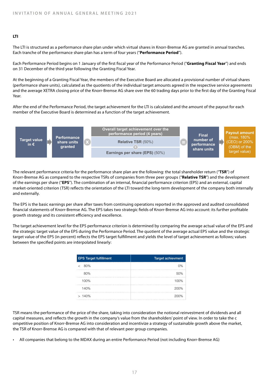#### **LTI**

The LTI is structured as a performance share plan under which virtual shares in Knorr-Bremse AG are granted in annual tranches. Each tranche of the performance share plan has a term of four years ("**Performance Period**").

Each Performance Period begins on 1 January of the first fiscal year of the Performance Period ("**Granting Fiscal Year**") and ends on 31 December of the third year following the Granting Fiscal Year.

At the beginning of a Granting Fiscal Year, the members of the Executive Board are allocated a provisional number of virtual shares (performance share units), calculated as the quotients of the individual target amounts agreed in the respective service agreements and the average XETRA closing price of the Knorr-Bremse AG share over the 60 trading days prior to the first day of the Granting Fiscal Year.

After the end of the Performance Period, the target achievement for the LTI is calculated and the amount of the payout for each **Long-term incentive (LTI) – Overview** member of the Executive Board is determined as a function of the target achievement.



The relevant performance criteria for the performance share plan are the following: the total shareholder return ("**TSR**") of Knorr-Bremse AG as compared to the respective TSRs of companies from three peer groups ("**Relative TSR**") and the development of the earnings per share ("**EPS**"). The combination of an internal, financial performance criterion (EPS) and an external, capital and the formal capital and the formal capital or the formal capital integrated criterion ( market-oriented criterion (TSR) reflects the orientation of the LTI toward the long-term development of the company both internally **achievement fulfilment achievement** and externally. **< 25. percentile rank** 0%

The EPS is the basic earnings per share after taxes from continuing operations reported in the approved and audited consolidated **50. percentile rank** 100% **100%** 100% financial statements of Knorr-Bremse AG. The EPS takes two strategic fields of Knorr-Bremse AG into account: its further profitable **75. percentile rank** 200% **140%** 200% growth strategy and its consistent efficiency and excellence. **> 75. percentile rank** 200%

The target achievement level for the EPS performance criterion is determined by comparing the average actual value of the EPS and the strategic target value of the EPS during the Performance Period. The quotient of the average actual EPS value and the strategic target value of the EPS (in percent) reflects the EPS target fulfillment and yields the level of target achievement as follows; values between the specified points are interpolated linearly:

| <b>EPS Target fulfillment</b> | <b>Target achievment</b> |
|-------------------------------|--------------------------|
| 80%                           | 0%                       |
| 80%                           | 50%                      |
| 100%                          | 100%                     |
| 140%                          | 200%                     |
| >140%                         | 200%                     |

TSR means the performance of the price of the share, taking into consideration the notional reinvestment of dividends and all capital measures, and reflects the growth in the company's value from the shareholders' point of view. In order to take the c ompetitive position of Knorr-Bremse AG into consideration and incentivize a strategy of sustainable growth above the market, the TSR of Knorr-Bremse AG is compared with that of relevant peer group companies.

• All companies that belong to the MDAX during an entire Performance Period (not including Knorr-Bremse AG)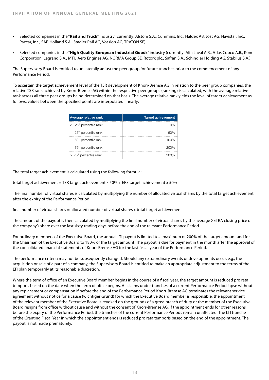- Selected companies in the "**Rail and Truck**" industry (currently: Alstom S.A., Cummins, Inc., Haldex AB, Jost AG, Navistar, Inc., Paccar, Inc., SAF-Holland S.A., Stadler Rail AG, Vossloh AG, TRATON SE)
- Selected companies in the "**High Quality European Industrial Goods**" industry (currently: Alfa Laval A.B., Atlas Copco A.B., Kone Corporation, Legrand S.A., MTU Aero Engines AG, NORMA Group SE, Rotork plc., Safran S.A., Schindler Holding AG, Stabilus S.A.)

The Supervisory Board is entitled to unilaterally adjust the peer group for future tranches prior to the commencement of any Performance Period.

To ascertain the target achievement level of the TSR development of Knorr-Bremse AG in relation to the peer group companies, the relative TSR rank achieved by Knorr-Bremse AG within the respective peer groups (ranking) is calculated, with the average relative rank across all three peer groups being determined on that basis. The average relative rank yields the level of target achievement as follows; values between the specified points are interpolated linearly:

| Average relative rank                | <b>Target achievement</b> |
|--------------------------------------|---------------------------|
| $<$ 25 <sup>th</sup> percentile rank | $0\%$                     |
| 25 <sup>th</sup> percentile rank     | 50%                       |
| 50 <sup>th</sup> percentile rank     | 100%                      |
| 75 <sup>th</sup> percentile rank     | 200%                      |
| $> 75th$ percentile rank             |                           |

The total target achievement is calculated using the following formula:

total target achievement = TSR target achievement x 50% + EPS target achievement x 50%

The final number of virtual shares is calculated by multiplying the number of allocated virtual shares by the total target achievement after the expiry of the Performance Period:

final number of virtual shares = allocated number of virtual shares x total target achievement

The amount of the payout is then calculated by multiplying the final number of virtual shares by the average XETRA closing price of the company's share over the last sixty trading days before the end of the relevant Performance Period.

For ordinary members of the Executive Board, the annual LTI payout is limited to a maximum of 200% of the target amount and for the Chairman of the Executive Board to 180% of the target amount. The payout is due for payment in the month after the approval of the consolidated financial statements of Knorr-Bremse AG for the last fiscal year of the Performance Period.

The performance criteria may not be subsequently changed. Should any extraordinary events or developments occur, e.g., the acquisition or sale of a part of a company, the Supervisory Board is entitled to make an appropriate adjustment to the terms of the LTI plan temporarily at its reasonable discretion.

Where the term of office of an Executive Board member begins in the course of a fiscal year, the target amount is reduced pro rata temporis based on the date when the term of office begins. All claims under tranches of a current Performance Period lapse without any replacement or compensation if before the end of the Performance Period Knorr-Bremse AG terminates the relevant service agreement without notice for a cause (wichtiger Grund) for which the Executive Board member is responsible, the appointment of the relevant member of the Executive Board is revoked on the grounds of a gross breach of duty or the member of the Executive Board resigns from office without cause and without the consent of Knorr-Bremse AG. If the appointment ends for other reasons before the expiry of the Performance Period, the tranches of the current Performance Periods remain unaffected. The LTI tranche of the Granting Fiscal Year in which the appointment ends is reduced pro rata temporis based on the end of the appointment. The payout is not made prematurely.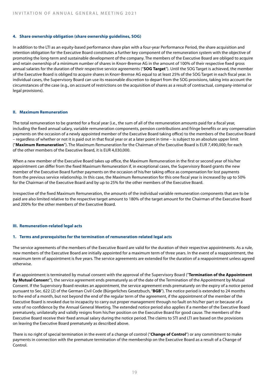#### **4. Share ownership obligation (share ownership guidelines, SOG)**

In addition to the LTI as an equity-based performance share plan with a four-year Performance Period, the share acquisition and retention obligation for the Executive Board constitutes a further key component of the remuneration system with the objective of promoting the long-term and sustainable development of the company. The members of the Executive Board are obliged to acquire and retain ownership of a minimum number of shares in Knorr-Bremse AG in the amount of 100% of their respective fixed gross annual salaries for the duration of their respective service agreements ("**SOG Target**"). Until the SOG Target is achieved, the member of the Executive Board is obliged to acquire shares in Knorr-Bremse AG equal to at least 25% of the SOG Target in each fiscal year. In individual cases, the Supervisory Board can use its reasonable discretion to depart from the SOG provisions, taking into account the circumstances of the case (e.g., on account of restrictions on the acquisition of shares as a result of contractual, company-internal or legal provisions).

#### **II. Maximum Remuneration**

The total remuneration to be granted for a fiscal year (i.e., the sum of all of the remuneration amounts paid for a fiscal year, including the fixed annual salary, variable remuneration components, pension contributions and fringe benefits or any compensation payments on the occasion of a newly appointed member of the Executive Board taking office) to the members of the Executive Board – regardless of whether or not it is paid out in that fiscal year or at a later point in time – is subject to an absolute upper limit ("**Maximum Remuneration**"). The Maximum Remuneration for the Chairman of the Executive Board is EUR 7,490,000; for each of the other members of the Executive Board, it is EUR 4,030,000.

When a new member of the Executive Board takes up office, the Maximum Remuneration in the first or second year of his/her appointment can differ from the fixed Maximum Remuneration if, in exceptional cases, the Supervisory Board grants the new member of the Executive Board further payments on the occasion of his/her taking office as compensation for lost payments from the previous service relationship. In this case, the Maximum Remuneration for this one fiscal year is increased by up to 50% for the Chairman of the Executive Board and by up to 25% for the other members of the Executive Board.

Irrespective of the fixed Maximum Remuneration, the amounts of the individual variable remuneration components that are to be paid are also limited relative to the respective target amount to 180% of the target amount for the Chairman of the Executive Board and 200% for the other members of the Executive Board.

#### **III. Remuneration-related legal acts**

#### **1. Terms and prerequisites for the termination of remuneration-related legal acts**

The service agreements of the members of the Executive Board are valid for the duration of their respective appointments. As a rule, new members of the Executive Board are initially appointed for a maximum term of three years. In the event of a reappointment, the maximum term of appointment is five years. The service agreements are extended for the duration of a reappointment unless agreed otherwise.

If an appointment is terminated by mutual consent with the approval of the Supervisory Board ("**Termination of the Appointment by Mutual Consen**t"), the service agreement ends prematurely as of the date of the Termination of the Appointment by Mutual Consent. If the Supervisory Board revokes an appointment, the service agreement ends prematurely on the expiry of a notice period pursuant to Sec. 622 (2) of the German Civil Code (Bürgerliches Gesetzbuch, "**BGB**"). The notice period is extended to 24 months to the end of a month, but not beyond the end of the regular term of the agreement, if the appointment of the member of the Executive Board is revoked due to incapacity to carry out proper management through no fault on his/her part or because of a vote of no confidence by the Annual General Meeting. The extended notice period also applies if a member of the Executive Board prematurely, unilaterally and validly resigns from his/her position on the Executive Board for good cause. The members of the Executive Board receive their fixed annual salary during the notice period. The claims to STI and LTI are based on the provisions on leaving the Executive Board prematurely as described above.

There is no right of special termination in the event of a change of control ("**Change of Control**") or any commitment to make payments in connection with the premature termination of the membership on the Executive Board as a result of a Change of Control.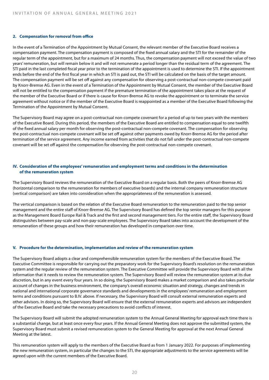#### **2. Compensation for removal from office**

In the event of a Termination of the Appointment by Mutual Consent, the relevant member of the Executive Board receives a compensation payment. The compensation payment is composed of the fixed annual salary and the STI for the remainder of the regular term of the appointment, but for a maximum of 24 months. Thus, the compensation payment will not exceed the value of two years' remuneration, but will remain below it and will not remunerate a period longer than the residual term of the agreement. The STI paid in the last completed fiscal year prior to the termination of the appointment is used to determine the STI. If the appointment ends before the end of the first fiscal year in which an STI is paid out, the STI will be calculated on the basis of the target amount. The compensation payment will be set off against any compensation for observing a post-contractual non-compete covenant paid by Knorr-Bremse AG. Even in the event of a Termination of the Appointment by Mutual Consent, the member of the Executive Board will not be entitled to the compensation payment if the premature termination of the appointment takes place at the request of the member of the Executive Board or if there is cause for Knorr-Bremse AG to revoke the appointment or to terminate the service agreement without notice or if the member of the Executive Board is reappointed as a member of the Executive Board following the Termination of the Appointment by Mutual Consent.

The Supervisory Board may agree on a post-contractual non-compete covenant for a period of up to two years with the members of the Executive Board. During this period, the members of the Executive Board are entitled to compensation equal to one twelfth of the fixed annual salary per month for observing the post-contractual non-compete covenant. The compensation for observing the post-contractual non-compete covenant will be set off against other payments owed by Knorr-Bremse AG for the period after termination of the service agreement. Any income earned from activities that do not fall under the post-contractual non-compete covenant will be set off against the compensation for observing the post-contractual non-compete covenant.

#### **IV. Consideration of the employees' remuneration and employment terms and conditions in the determination of the remuneration system**

The Supervisory Board reviews the remuneration of the Executive Board on a regular basis. Both the peers of Knorr-Bremse AG (horizontal comparison to the remuneration for members of executive boards) and the internal company remuneration structure (vertical comparison) are taken into consideration when the appropriateness of the remuneration is assessed.

The vertical comparison is based on the relation of the Executive Board remuneration to the remuneration paid to the top senior management and the entire staff of Knorr-Bremse AG. The Supervisory Board has defined the top senior managers for this purpose as the Management Board Europe Rail & Track and the first and second management tiers. For the entire staff, the Supervisory Board distinguishes between pay-scale and non-pay-scale employees. The Supervisory Board takes into account the development of the remuneration of these groups and how their remuneration has developed in comparison over time.

#### **V. Procedure for the determination, implementation and review of the remuneration system**

The Supervisory Board adopts a clear and comprehensible remuneration system for the members of the Executive Board. The Executive Committee is responsible for carrying out the preparatory work for the Supervisory Board's resolution on the remuneration system and the regular review of the remuneration system. The Executive Committee will provide the Supervisory Board with all the information that it needs to review the remuneration system. The Supervisory Board will review the remuneration system at its due discretion, but in any event every four years. In so doing, the Supervisory Board makes a market comparison and also takes particular account of changes in the business environment, the company's overall economic situation and strategy, changes and trends in national and international corporate governance standards and developments in the employees' remuneration and employment terms and conditions pursuant to B.IV. above. If necessary, the Supervisory Board will consult external remuneration experts and other advisors. In doing so, the Supervisory Board will ensure that the external remuneration experts and advisors are independent of the Executive Board and take the necessary precautions to avoid conflicts of interest.

The Supervisory Board will submit the adopted remuneration system to the Annual General Meeting for approval each time there is a substantial change, but at least once every four years. If the Annual General Meeting does not approve the submitted system, the Supervisory Board must submit a revised remuneration system to the General Meeting for approval at the next Annual General Meeting at the latest.

This remuneration system will apply to the members of the Executive Board as from 1 January 2022. For purposes of implementing the new remuneration system, in particular the changes to the STI, the appropriate adjustments to the service agreements will be agreed upon with the current members of the Executive Board.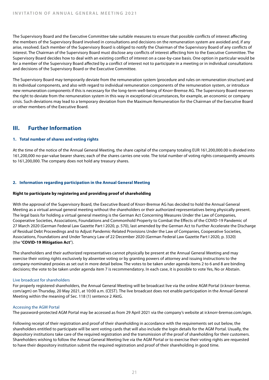The Supervisory Board and the Executive Committee take suitable measures to ensure that possible conflicts of interest affecting the members of the Supervisory Board involved in consultations and decisions on the remuneration system are avoided and, if any arise, resolved. Each member of the Supervisory Board is obliged to notify the Chairman of the Supervisory Board of any conflicts of interest. The Chairman of the Supervisory Board must disclose any conflicts of interest affecting him to the Executive Committee. The Supervisory Board decides how to deal with an existing conflict of interest on a case-by-case basis. One option in particular would be for a member of the Supervisory Board affected by a conflict of interest not to participate in a meeting or in individual consultations and decisions of the Supervisory Board or the Executive Committee.

The Supervisory Board may temporarily deviate from the remuneration system (procedure and rules on remuneration structure) and its individual components, and also with regard to individual remuneration components of the remuneration system, or introduce new remuneration components if this is necessary for the long-term well-being of Knorr-Bremse AG. The Supervisory Board reserves the right to deviate from the remuneration system in this way in exceptional circumstances, for example, an economic or company crisis. Such deviations may lead to a temporary deviation from the Maximum Remuneration for the Chairman of the Executive Board or other members of the Executive Board.

# **III. Further Information**

#### **1. Total number of shares and voting rights**

At the time of the notice of the Annual General Meeting, the share capital of the company totaling EUR 161,200,000.00 is divided into 161,200,000 no-par-value bearer shares; each of the shares carries one vote. The total number of voting rights consequently amounts to 161,200,000. The company does not hold any treasury shares.

#### **2. Information regarding participation in the Annual General Meeting**

#### **Right to participate by registering and providing proof of shareholding**

With the approval of the Supervisory Board, the Executive Board of Knorr-Bremse AG has decided to hold the Annual General Meeting as a virtual annual general meeting without the shareholders or their authorized representatives being physically present. The legal basis for holding a virtual general meeting is the German Act Concerning Measures Under the Law of Companies, Cooperative Societies, Associations, Foundations and Commonhold Property to Combat the Effects of the COVID-19 Pandemic of 27 March 2020 (German Federal Law Gazette Part I 2020, p. 570), last amended by the German Act to Further Accelerate the Discharge of Residual Debt Proceedings and to Adjust Pandemic-Related Provisions Under the Law of Companies, Cooperative Societies, Associations, Foundations and Under Tenancy Law of 22 December 2020 (German Federal Law Gazette Part I 2020, p. 3320) (the "**COVID-19 Mitigation Act**").

The shareholders and their authorized representatives cannot physically be present at the Annual General Meeting and may exercise their voting rights exclusively by absentee voting or by granting powers of attorney and issuing instructions to the company-nominated proxies as set out in more detail below. The votes to be taken under agenda items 2 to 6 and 8 are binding decisions; the vote to be taken under agenda item 7 is recommendatory. In each case, it is possible to vote Yes, No or Abstain.

#### Live broadcast for shareholders

For properly registered shareholders, the Annual General Meeting will be broadcast live via the online AGM Portal (ir.knorr-bremse. com/agm) on Thursday, 20 May 2021, at 10:00 a.m. (CEST). The live broadcast does not enable participation in the Annual General Meeting within the meaning of Sec. 118 (1) sentence 2 AktG.

#### Accessing the AGM Portal

The password-protected AGM Portal may be accessed as from 29 April 2021 via the company's website at ir.knorr-bremse.com/agm.

Following receipt of their registration and proof of their shareholding in accordance with the requirements set out below, the shareholders entitled to participate will be sent voting cards that will also include the login details for the AGM Portal. Usually, the depository institutions take care of the required registration and the transmission of the proof of shareholding for their customers. Shareholders wishing to follow the Annual General Meeting live via the AGM Portal or to exercise their voting rights are requested to have their depository institution submit the required registration and proof of their shareholding in good time.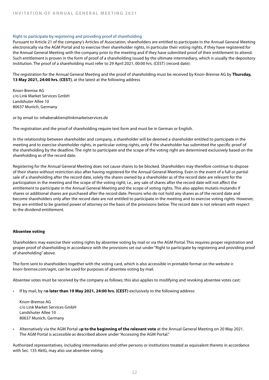#### Right to participate by registering and providing proof of shareholding

Pursuant to Article 21 of the company's Articles of Association, shareholders are entitled to participate in the Annual General Meeting electronically via the AGM Portal and to exercise their shareholder rights, in particular their voting rights, if they have registered for the Annual General Meeting with the company prior to the meeting and if they have submitted proof of their entitlement to attend. Such entitlement is proven in the form of proof of a shareholding issued by the ultimate intermediary, which is usually the depository institution. The proof of a shareholding must refer to 29 April 2021, 00:00 hrs. (CEST) (record date).

The registration for the Annual General Meeting and the proof of shareholding must be received by Knorr-Bremse AG by **Thursday, 13 May 2021, 24:00 hrs. (CEST)**, at the latest at the following address

Knorr-Bremse AG c/o Link Market Services GmbH Landshuter Allee 10 80637 Munich, Germany

or by email to: inhaberaktien@linkmarketservices.de

The registration and the proof of shareholding require text form and must be in German or English.

In the relationship between shareholder and company, a shareholder will be deemed a shareholder entitled to participate in the meeting and to exercise shareholder rights, in particular voting rights, only if the shareholder has submitted the specific proof of the shareholding by the deadline. The right to participate and the scope of the voting right are determined exclusively based on the shareholding as of the record date.

Registering for the Annual General Meeting does not cause shares to be blocked. Shareholders may therefore continue to dispose of their shares without restriction also after having registered for the Annual General Meeting. Even in the event of a full or partial sale of a shareholding after the record date, solely the shares owned by a shareholder as of the record date are relevant for the participation in the meeting and the scope of the voting right; i.e., any sale of shares after the record date will not affect the entitlement to participate in the Annual General Meeting and the scope of voting rights. This also applies mutatis mutandis if shares or additional shares are purchased after the record date. Persons who do not hold any shares as of the record date and become shareholders only after the record date are not entitled to participate in the meeting and to exercise voting rights. However, they are entitled to be granted power of attorney on the basis of the provisions below. The record date is not relevant with respect to the dividend entitlement.

#### **Absentee voting**

Shareholders may exercise their voting rights by absentee voting by mail or via the AGM Portal. This requires proper registration and proper proof of shareholding in accordance with the provisions set out under "Right to participate by registering and providing proof of shareholding" above.

The form sent to shareholders together with the voting card, which is also accessible in printable format on the website ir. knorr-bremse.com/agm, can be used for purposes of absentee voting by mail.

Absentee votes must be received by the company as follows; this also applies to modifying and revoking absentee votes cast:

• If by mail, by n**o later than 19 May 2021, 24:00 hrs. (CEST)** exclusively to the following address:

Knorr-Bremse AG c/o Link Market Services GmbH Landshuter Allee 10 80637 Munich, Germany

• Alternatively via the AGM Portal u**p to the beginning of the relevant vote** at the Annual General Meeting on 20 May 2021. The AGM Portal is accessible as described above under "Accessing the AGM Portal."

Authorized representatives, including intermediaries and other persons or institutions treated as equivalent thereto in accordance with Sec. 135 AktG, may also use absentee voting.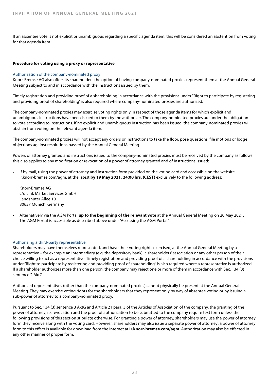If an absentee vote is not explicit or unambiguous regarding a specific agenda item, this will be considered an abstention from voting for that agenda item.

#### **Procedure for voting using a proxy or representative**

#### Authorization of the company-nominated proxy

Knorr-Bremse AG also offers its shareholders the option of having company-nominated proxies represent them at the Annual General Meeting subject to and in accordance with the instructions issued by them.

Timely registration and providing proof of a shareholding in accordance with the provisions under "Right to participate by registering and providing proof of shareholding" is also required where company-nominated proxies are authorized.

The company-nominated proxies may exercise voting rights only in respect of those agenda items for which explicit and unambiguous instructions have been issued to them by the authorizer. The company-nominated proxies are under the obligation to vote according to instructions. If no explicit and unambiguous instruction has been issued, the company-nominated proxies will abstain from voting on the relevant agenda item.

The company-nominated proxies will not accept any orders or instructions to take the floor, pose questions, file motions or lodge objections against resolutions passed by the Annual General Meeting.

Powers of attorney granted and instructions issued to the company-nominated proxies must be received by the company as follows; this also applies to any modification or revocation of a power of attorney granted and of instructions issued:

If by mail, using the power of attorney and instruction form provided on the voting card and accessible on the website ir.knorr-bremse.com/agm, at the latest **by 19 May 2021, 24:00 hrs. (CEST)** exclusively to the following address:

Knorr-Bremse AG c/o Link Market Services GmbH Landshuter Allee 10 80637 Munich, Germany

• Alternatively via the AGM Portal **up to the beginning of the relevant vote** at the Annual General Meeting on 20 May 2021. The AGM Portal is accessible as described above under "Accessing the AGM Portal."

#### Authorizing a third-party representative

Shareholders may have themselves represented, and have their voting rights exercised, at the Annual General Meeting by a representative – for example an intermediary (e.g. the depository bank), a shareholders' association or any other person of their choice willing to act as a representative. Timely registration and providing proof of a shareholding in accordance with the provisions under "Right to participate by registering and providing proof of shareholding" is also required where a representative is authorized. If a shareholder authorizes more than one person, the company may reject one or more of them in accordance with Sec. 134 (3) sentence 2 AktG.

Authorized representatives (other than the company-nominated proxies) cannot physically be present at the Annual General Meeting. They may exercise voting rights for the shareholders that they represent only by way of absentee voting or by issuing a sub-power of attorney to a company-nominated proxy.

Pursuant to Sec. 134 (3) sentence 3 AktG and Article 21 para. 3 of the Articles of Association of the company, the granting of the power of attorney, its revocation and the proof of authorization to be submitted to the company require text form unless the following provisions of this section stipulate otherwise. For granting a power of attorney, shareholders may use the power of attorney form they receive along with the voting card. However, shareholders may also issue a separate power of attorney; a power of attorney form to this effect is available for download from the internet at **ir.knorr-bremse.com/agm**. Authorization may also be effected in any other manner of proper form.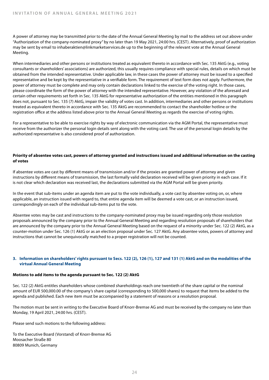A power of attorney may be transmitted prior to the date of the Annual General Meeting by mail to the address set out above under "Authorization of the company-nominated proxy" by no later than 19 May 2021, 24:00 hrs. (CEST). Alternatively, proof of authorization may be sent by email to inhaberaktien@linkmarketservices.de up to the beginning of the relevant vote at the Annual General Meeting.

When intermediaries and other persons or institutions treated as equivalent thereto in accordance with Sec. 135 AktG (e.g., voting consultants or shareholders' associations) are authorized, this usually requires compliance with special rules, details on which must be obtained from the intended representative. Under applicable law, in these cases the power of attorney must be issued to a specified representative and be kept by the representative in a verifiable form. The requirement of text form does not apply. Furthermore, the power of attorney must be complete and may only contain declarations linked to the exercise of the voting right. In those cases, please coordinate the form of the power of attorney with the intended representative. However, any violation of the aforesaid and certain other requirements set forth in Sec. 135 AktG for representative authorization of the entities mentioned in this paragraph does not, pursuant to Sec. 135 (7) AktG, impair the validity of votes cast. In addition, intermediaries and other persons or institutions treated as equivalent thereto in accordance with Sec. 135 AktG are recommended to contact the shareholder hotline or the registration office at the address listed above prior to the Annual General Meeting as regards the exercise of voting rights.

For a representative to be able to exercise rights by way of electronic communication via the AGM Portal, the representative must receive from the authorizer the personal login details sent along with the voting card. The use of the personal login details by the authorized representative is also considered proof of authorization.

#### **Priority of absentee votes cast, powers of attorney granted and instructions issued and additional information on the casting of votes**

If absentee votes are cast by different means of transmission and/or if the proxies are granted power of attorney and given instructions by different means of transmission, the last formally valid declaration received will be given priority in each case. If it is not clear which declaration was received last, the declarations submitted via the AGM Portal will be given priority.

In the event that sub-items under an agenda item are put to the vote individually, a vote cast by absentee voting on, or, where applicable, an instruction issued with regard to, that entire agenda item will be deemed a vote cast, or an instruction issued, correspondingly on each of the individual sub-items put to the vote.

Absentee votes may be cast and instructions to the company-nominated proxy may be issued regarding only those resolution proposals announced by the company prior to the Annual General Meeting and regarding resolution proposals of shareholders that are announced by the company prior to the Annual General Meeting based on the request of a minority under Sec. 122 (2) AktG, as a counter-motion under Sec. 126 (1) AktG or as an election proposal under Sec. 127 AktG. Any absentee votes, powers of attorney and instructions that cannot be unequivocally matched to a proper registration will not be counted.

#### **3. Information on shareholders' rights pursuant to Secs. 122 (2), 126 (1), 127 and 131 (1) AktG and on the modalities of the virtual Annual General Meeting**

#### **Motions to add items to the agenda pursuant to Sec. 122 (2) AktG**

Sec. 122 (2) AktG entitles shareholders whose combined shareholdings reach one twentieth of the share capital or the nominal amount of EUR 500,000.00 of the company's share capital (corresponding to 500,000 shares) to request that items be added to the agenda and published. Each new item must be accompanied by a statement of reasons or a resolution proposal.

The motion must be sent in writing to the Executive Board of Knorr-Bremse AG and must be received by the company no later than Monday, 19 April 2021, 24:00 hrs. (CEST).

Please send such motions to the following address:

To the Executive Board (Vorstand) of Knorr-Bremse AG Moosacher Straße 80 80809 Munich, Germany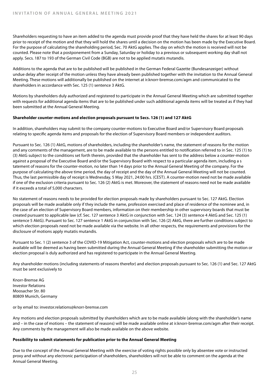Shareholders requesting to have an item added to the agenda must provide proof that they have held the shares for at least 90 days prior to receipt of the motion and that they will hold the shares until a decision on the motion has been made by the Executive Board. For the purpose of calculating the shareholding period, Sec. 70 AktG applies. The day on which the motion is received will not be counted. Please note that a postponement from a Sunday, Saturday or holiday to a previous or subsequent working day shall not apply. Secs. 187 to 193 of the German Civil Code (BGB) are not to be applied mutatis mutandis.

Additions to the agenda that are to be published will be published in the German Federal Gazette (Bundesanzeiger) without undue delay after receipt of the motion unless they have already been published together with the invitation to the Annual General Meeting. These motions will additionally be published on the internet at ir.knorr-bremse.com/agm and communicated to the shareholders in accordance with Sec. 125 (1) sentence 3 AktG.

Motions by shareholders duly authorized and registered to participate in the Annual General Meeting which are submitted together with requests for additional agenda items that are to be published under such additional agenda items will be treated as if they had been submitted at the Annual General Meeting.

#### **Shareholder counter-motions and election proposals pursuant to Secs. 126 (1) and 127 AktG**

In addition, shareholders may submit to the company counter-motions to Executive Board and/or Supervisory Board proposals relating to specific agenda items and proposals for the election of Supervisory Board members or independent auditors.

Pursuant to Sec. 126 (1) AktG, motions of shareholders, including the shareholder's name, the statement of reasons for the motion and any comments of the management, are to be made available to the persons entitled to notification referred to in Sec. 125 (1) to (3) AktG subject to the conditions set forth therein, provided that the shareholder has sent to the address below a counter-motion against a proposal of the Executive Board and/or the Supervisory Board with respect to a particular agenda item, including a s tatement of reasons for the counter-motion, no later than 14 days prior to the Annual General Meeting of the company. For the purpose of calculating the above time period, the day of receipt and the day of the Annual General Meeting will not be counted. Thus, the last permissible day of receipt is Wednesday, 5 May 2021, 24:00 hrs. (CEST). A counter-motion need not be made available if one of the exclusion criteria pursuant to Sec. 126 (2) AktG is met. Moreover, the statement of reasons need not be made available if it exceeds a total of 5,000 characters.

No statement of reasons needs to be provided for election proposals made by shareholders pursuant to Sec. 127 AktG. Election proposals will be made available only if they include the name, profession exercised and place of residence of the nominee and, in the case of an election of Supervisory Board members, information on their membership in other supervisory boards that must be created pursuant to applicable law (cf. Sec. 127 sentence 3 AktG in conjunction with Sec. 124 (3) sentence 4 AktG and Sec. 125 (1) sentence 5 AktG). Pursuant to Sec. 127 sentence 1 AktG in conjunction with Sec. 126 (2) AktG, there are further conditions subject to which election proposals need not be made available via the website. In all other respects, the requirements and provisions for the disclosure of motions apply mutatis mutandis.

Pursuant to Sec. 1 (2) sentence 3 of the COVID-19 Mitigation Act, counter-motions and election proposals which are to be made available will be deemed as having been submitted during the Annual General Meeting if the shareholder submitting the motion or election proposal is duly authorized and has registered to participate in the Annual General Meeting.

Any shareholder motions (including statements of reasons therefor) and election proposals pursuant to Sec. 126 (1) and Sec. 127 AktG must be sent exclusively to

Knorr-Bremse AG Investor Relations Moosacher Str. 80 80809 Munich, Germany

or by email to: investor.relations@knorr-bremse.com

Any motions and election proposals submitted by shareholders which are to be made available (along with the shareholder's name and – in the case of motions – the statement of reasons) will be made available online at ir.knorr-bremse.com/agm after their receipt. Any comments by the management will also be made available on the above website.

#### **Possibility to submit statements for publication prior to the Annual General Meeting**

Due to the concept of the Annual General Meeting with the exercise of voting rights possible only by absentee vote or instructed proxy and without any electronic participation of shareholders, shareholders will not be able to comment on the agenda at the Annual General Meeting.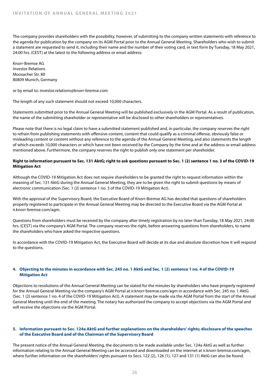The company provides shareholders with the possibility, however, of submitting to the company written statements with reference to the agenda for publication by the company on its AGM Portal prior to the Annual General Meeting. Shareholders who wish to submit a statement are requested to send it, including their name and the number of their voting card, in text form by Tuesday, 18 May 2021, 24:00 hrs. (CEST) at the latest to the following address or email address:

Knorr-Bremse AG Investor Relations Moosacher Str. 80 80809 Munich, Germany

or by email to: investor.relations@knorr-bremse.com

The length of any such statement should not exceed 10,000 characters.

Statements submitted prior to the Annual General Meeting will be published exclusively in the AGM Portal. As a result of publication, the name of the submitting shareholder or representative will be disclosed to other shareholders or representatives.

Please note that there is no legal claim to have a submitted statement published and, in particular, the company reserves the right to refrain from publishing statements with offensive content, content that could qualify as a criminal offense, obviously false or misleading content or content without any reference to the agenda of the Annual General Meeting, and also statements the length of which exceeds 10,000 characters or which have not been received by the Company by the time and at the address or email address mentioned above. Furthermore, the company reserves the right to publish only one statement per shareholder.

#### **Right to information pursuant to Sec. 131 AktG; right to ask questions pursuant to Sec. 1 (2) sentence 1 no. 3 of the COVID-19 Mitigation Act**

Although the COVID-19 Mitigation Act does not require shareholders to be granted the right to request information within the meaning of Sec. 131 AktG during the Annual General Meeting, they are to be given the right to submit questions by means of electronic communication (Sec. 1 (2) sentence 1 no. 3 of the COVID-19 Mitigation Act).

With the approval of the Supervisory Board, the Executive Board of Knorr-Bremse AG has decided that questions of shareholders properly registered to participate in the Annual General Meeting may be directed to the Executive Board via the AGM Portal at ir.knorr-bremse.com/agm.

Questions from shareholders must be received by the company after timely registration by no later than Tuesday, 18 May 2021, 24:00 hrs. (CEST) via the company's AGM Portal. The company reserves the right, before answering questions from shareholders, to name the shareholders who have asked the respective questions.

In accordance with the COVID-19 Mitigation Act, the Executive Board will decide at its due and absolute discretion how it will respond to the questions.

#### **4. Objecting to the minutes in accordance with Sec. 245 no. 1 AktG and Sec. 1 (2) sentence 1 no. 4 of the COVID-19 Mitigation Act**

Objections to resolutions of the Annual General Meeting can be stated for the minutes by shareholders who have properly registered for the Annual General Meeting via the company's AGM Portal at ir.knorr-bremse.com/agm in accordance with Sec. 245 no. 1 AktG (Sec. 1 (2) sentence 1 no. 4 of the COVID-19 Mitigation Act). A statement may be made via the AGM Portal from the start of the Annual General Meeting until the end of the meeting. The notary has authorized the company to accept objections via the AGM Portal and will receive the objections via the AGM Portal.

#### **5. Information pursuant to Sec. 124a AktG and further explanations on the shareholders' rights; disclosure of the speeches of the Executive Board and of the Chairman of the Supervisory Board**

The present notice of the Annual General Meeting, the documents to be made available under Sec. 124a AktG as well as further information relating to the Annual General Meeting can be accessed and downloaded on the internet at ir.knorr-bremse.com/agm, where further information on the shareholders' rights pursuant to Secs. 122 (2), 126 (1), 127 and 131 (1) AktG can also be found.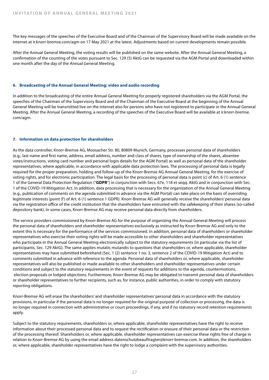The key messages of the speeches of the Executive Board and of the Chairman of the Supervisory Board will be made available on the internet at ir.knorr-bremse.com/agm on 17 May 2021 at the latest. Adjustments based on current developments remain possible.

After the Annual General Meeting, the voting results will be published on the same website. After the Annual General Meeting, a confirmation of the counting of the votes pursuant to Sec. 129 (5) AktG can be requested via the AGM Portal and downloaded within one month after the day of the Annual General Meeting.

#### **6. Broadcasting of the Annual General Meeting; video and audio recording**

In addition to the broadcasting of the entire Annual General Meeting for properly registered shareholders via the AGM Portal, the speeches of the Chairman of the Supervisory Board and of the Chairman of the Executive Board at the beginning of the Annual General Meeting will be transmitted live on the internet also for persons who have not registered to participate in the Annual General Meeting. After the Annual General Meeting, a recording of the speeches of the Executive Board will be available at ir.knorr-bremse. com/agm.

#### **7. Information on data protection for shareholders**

As the data controller, Knorr-Bremse AG, Moosacher Str. 80, 80809 Munich, Germany, processes personal data of shareholders (e.g., last name and first name, address, email address, number and class of shares, type of ownership of the shares, absentee votes/instructions, voting card number and personal login details for the AGM Portal) as well as personal data of the shareholder representatives, where applicable, in accordance with applicable data protection laws. The processing of personal data is legally required for the proper preparation, holding and follow-up of the Knorr-Bremse AG Annual General Meeting, for the exercise of voting rights, and for electronic participation. The legal basis for the processing of personal data is point (c) of Art. 6 (1) sentence 1 of the General Data Protection Regulation ("**GDPR**") in conjunction with Secs. 67e, 118 et seqq. AktG and in conjunction with Sec. 1 of the COVID-19 Mitigation Act. In addition, data processing that is necessary for the organization of the Annual General Meeting (e.g., publication of comments on the agenda submitted in advance via the AGM Portal) can take place on the basis of overriding legitimate interests (point (f) of Art. 6 (1) sentence 1 GDPR). Knorr-Bremse AG will generally receive the shareholders' personal data via the registration office of the credit institution that the shareholders have entrusted with the safekeeping of their shares (so-called depository bank). In some cases, Knorr-Bremse AG may receive personal data directly from shareholders.

The service providers commissioned by Knorr-Bremse AG for the purpose of organizing the Annual General Meeting will process the personal data of shareholders and shareholder representatives exclusively as instructed by Knorr-Bremse AG and only to the extent this is necessary for the performance of the services commissioned. In addition, personal data of shareholders or shareholder representatives who exercise their voting rights will be made accessible to other shareholders and shareholder representatives who participate in the Annual General Meeting electronically subject to the statutory requirements (in particular via the list of participants, Sec. 129 AktG). The same applies mutatis mutandis to questions that shareholders or, where applicable, shareholder representatives may have submitted beforehand (Sec. 1 (2) sentence 1 no. 3, sentence 2 of the COVID-19 Mitigation Act) and to comments submitted in advance with reference to the agenda. Personal data of shareholders or, where applicable, shareholder representatives will also be published or made available to other shareholders and shareholder representatives under certain conditions and subject to the statutory requirements in the event of requests for additions to the agenda, countermotions, election proposals or lodged objections. Furthermore, Knorr-Bremse AG may be obligated to transmit personal data of shareholders or shareholder representatives to further recipients, such as, for instance, public authorities, in order to comply with statutory reporting obligations.

Knorr-Bremse AG will erase the shareholders' and shareholder representatives' personal data in accordance with the statutory provisions, in particular if the personal data is no longer required for the original purpose of collection or processing, the data is no longer required in connection with administrative or court proceedings, if any, and if no statutory record retention requirements apply.

Subject to the statutory requirements, shareholders or, where applicable, shareholder representatives have the right to receive information about their processed personal data and to request the rectification or erasure of their personal data or the restriction of the processing thereof. Shareholders or, where applicable, shareholder representatives can exercise these rights free of charge in relation to Knorr-Bremse AG by using the email address datenschutzbeauftragter@knorr-bremse.com. In addition, the shareholders or, where applicable, shareholder representatives have the right to lodge a complaint with the supervisory authorities.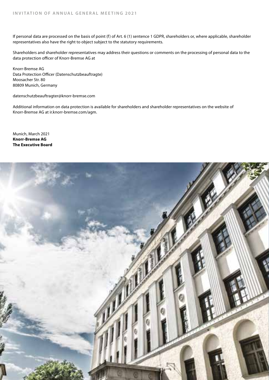If personal data are processed on the basis of point (f) of Art. 6 (1) sentence 1 GDPR, shareholders or, where applicable, shareholder representatives also have the right to object subject to the statutory requirements.

Shareholders and shareholder representatives may address their questions or comments on the processing of personal data to the data protection officer of Knorr-Bremse AG at

Knorr-Bremse AG Data Protection Officer (Datenschutzbeauftragte) Moosacher Str. 80 80809 Munich, Germany

datenschutzbeauftragter@knorr-bremse.com

Additional information on data protection is available for shareholders and shareholder representatives on the website of Knorr-Bremse AG at ir.knorr-bremse.com/agm.

Munich, March 2021 **Knorr-Bremse AG The Executive Board**